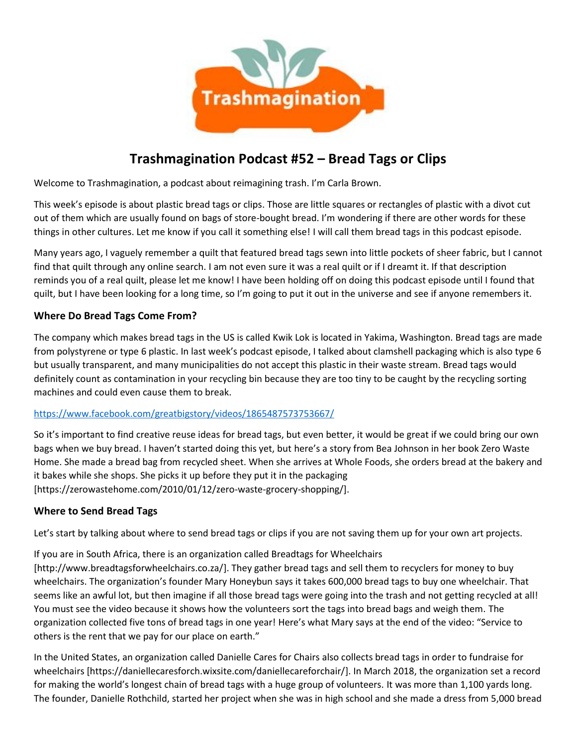

# **Trashmagination Podcast #52 – Bread Tags or Clips**

Welcome to Trashmagination, a podcast about reimagining trash. I'm Carla Brown.

This week's episode is about plastic bread tags or clips. Those are little squares or rectangles of plastic with a divot cut out of them which are usually found on bags of store-bought bread. I'm wondering if there are other words for these things in other cultures. Let me know if you call it something else! I will call them bread tags in this podcast episode.

Many years ago, I vaguely remember a quilt that featured bread tags sewn into little pockets of sheer fabric, but I cannot find that quilt through any online search. I am not even sure it was a real quilt or if I dreamt it. If that description reminds you of a real quilt, please let me know! I have been holding off on doing this podcast episode until I found that quilt, but I have been looking for a long time, so I'm going to put it out in the universe and see if anyone remembers it.

## **Where Do Bread Tags Come From?**

The company which makes bread tags in the US is called Kwik Lok is located in Yakima, Washington. Bread tags are made from polystyrene or type 6 plastic. In last week's podcast episode, I talked about clamshell packaging which is also type 6 but usually transparent, and many municipalities do not accept this plastic in their waste stream. Bread tags would definitely count as contamination in your recycling bin because they are too tiny to be caught by the recycling sorting machines and could even cause them to break.

#### https://www.facebook.com/greatbigstory/videos/1865487573753667/

So it's important to find creative reuse ideas for bread tags, but even better, it would be great if we could bring our own bags when we buy bread. I haven't started doing this yet, but here's a story from Bea Johnson in her book Zero Waste Home. She made a bread bag from recycled sheet. When she arrives at Whole Foods, she orders bread at the bakery and it bakes while she shops. She picks it up before they put it in the packaging [https://zerowastehome.com/2010/01/12/zero-waste-grocery-shopping/].

#### **Where to Send Bread Tags**

Let's start by talking about where to send bread tags or clips if you are not saving them up for your own art projects.

If you are in South Africa, there is an organization called Breadtags for Wheelchairs [http://www.breadtagsforwheelchairs.co.za/]. They gather bread tags and sell them to recyclers for money to buy wheelchairs. The organization's founder Mary Honeybun says it takes 600,000 bread tags to buy one wheelchair. That seems like an awful lot, but then imagine if all those bread tags were going into the trash and not getting recycled at all! You must see the video because it shows how the volunteers sort the tags into bread bags and weigh them. The organization collected five tons of bread tags in one year! Here's what Mary says at the end of the video: "Service to others is the rent that we pay for our place on earth."

In the United States, an organization called Danielle Cares for Chairs also collects bread tags in order to fundraise for wheelchairs [https://daniellecaresforch.wixsite.com/daniellecareforchair/]. In March 2018, the organization set a record for making the world's longest chain of bread tags with a huge group of volunteers. It was more than 1,100 yards long. The founder, Danielle Rothchild, started her project when she was in high school and she made a dress from 5,000 bread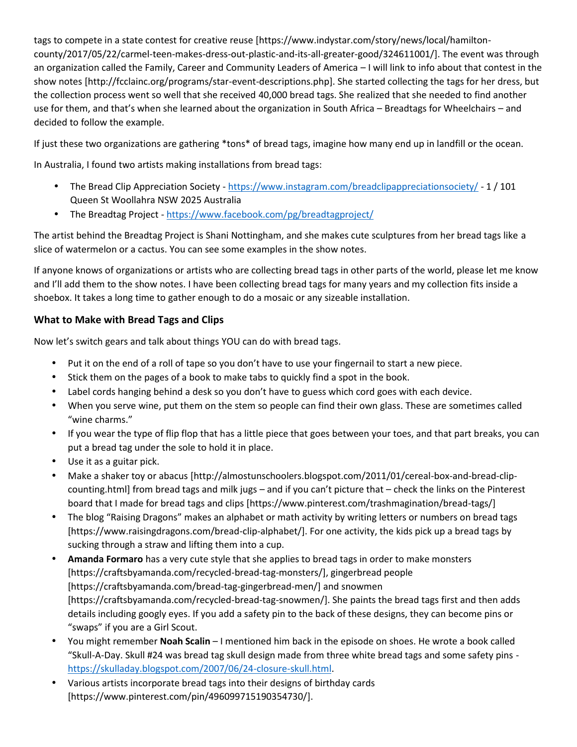tags to compete in a state contest for creative reuse [https://www.indystar.com/story/news/local/hamilton county/2017/05/22/carmel-teen-makes-dress-out-plastic-and-its-all-greater-good/324611001/]. The event was through an organization called the Family, Career and Community Leaders of America – I will link to info about that contest in the show notes [http://fcclainc.org/programs/star-event-descriptions.php]. She started collecting the tags for her dress, but the collection process went so well that she received 40,000 bread tags. She realized that she needed to find another use for them, and that's when she learned about the organization in South Africa – Breadtags for Wheelchairs – and decided to follow the example.

If just these two organizations are gathering \*tons\* of bread tags, imagine how many end up in landfill or the ocean.

In Australia, I found two artists making installations from bread tags:

- The Bread Clip Appreciation Society https://www.instagram.com/breadclipappreciationsociety/ 1 / 101 Queen St Woollahra NSW 2025 Australia
- The Breadtag Project https://www.facebook.com/pg/breadtagproject/

The artist behind the Breadtag Project is Shani Nottingham, and she makes cute sculptures from her bread tags like a slice of watermelon or a cactus. You can see some examples in the show notes.

If anyone knows of organizations or artists who are collecting bread tags in other parts of the world, please let me know and I'll add them to the show notes. I have been collecting bread tags for many years and my collection fits inside a shoebox. It takes a long time to gather enough to do a mosaic or any sizeable installation.

## **What to Make with Bread Tags and Clips**

Now let's switch gears and talk about things YOU can do with bread tags.

- Put it on the end of a roll of tape so you don't have to use your fingernail to start a new piece.
- Stick them on the pages of a book to make tabs to quickly find a spot in the book.
- Label cords hanging behind a desk so you don't have to guess which cord goes with each device.
- When you serve wine, put them on the stem so people can find their own glass. These are sometimes called "wine charms."
- If you wear the type of flip flop that has a little piece that goes between your toes, and that part breaks, you can put a bread tag under the sole to hold it in place.
- Use it as a guitar pick.
- Make a shaker toy or abacus [http://almostunschoolers.blogspot.com/2011/01/cereal-box-and-bread-clip counting.html] from bread tags and milk jugs – and if you can't picture that – check the links on the Pinterest board that I made for bread tags and clips [https://www.pinterest.com/trashmagination/bread-tags/]
- The blog "Raising Dragons" makes an alphabet or math activity by writing letters or numbers on bread tags [https://www.raisingdragons.com/bread-clip-alphabet/]. For one activity, the kids pick up a bread tags by sucking through a straw and lifting them into a cup.
- **Amanda Formaro** has a very cute style that she applies to bread tags in order to make monsters [https://craftsbyamanda.com/recycled-bread-tag-monsters/], gingerbread people [https://craftsbyamanda.com/bread-tag-gingerbread-men/] and snowmen [https://craftsbyamanda.com/recycled-bread-tag-snowmen/]. She paints the bread tags first and then adds details including googly eyes. If you add a safety pin to the back of these designs, they can become pins or "swaps" if you are a Girl Scout.
- You might remember **Noah Scalin** I mentioned him back in the episode on shoes. He wrote a book called "Skull-A-Day. Skull #24 was bread tag skull design made from three white bread tags and some safety pins -<br>https://skulladay.blogspot.com/2007/06/24-closure-skull.html.
- Various artists incorporate bread tags into their designs of birthday cards [https://www.pinterest.com/pin/496099715190354730/].